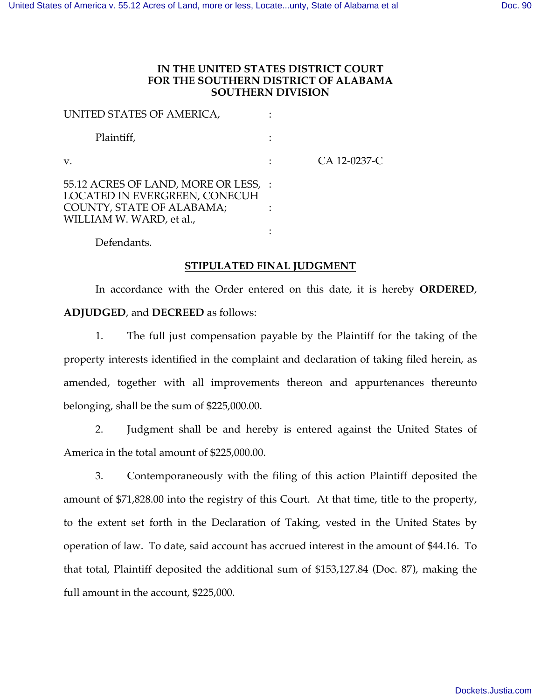## **IN THE UNITED STATES DISTRICT COURT FOR THE SOUTHERN DISTRICT OF ALABAMA SOUTHERN DIVISION**

| UNITED STATES OF AMERICA,                                                                                                      |              |
|--------------------------------------------------------------------------------------------------------------------------------|--------------|
| Plaintiff,                                                                                                                     |              |
| V.                                                                                                                             | CA 12-0237-C |
| 55.12 ACRES OF LAND, MORE OR LESS, :<br>LOCATED IN EVERGREEN, CONECUH<br>COUNTY, STATE OF ALABAMA;<br>WILLIAM W. WARD, et al., |              |
|                                                                                                                                |              |

Defendants.

## **STIPULATED FINAL JUDGMENT**

In accordance with the Order entered on this date, it is hereby **ORDERED**, **ADJUDGED**, and **DECREED** as follows:

1. The full just compensation payable by the Plaintiff for the taking of the property interests identified in the complaint and declaration of taking filed herein, as amended, together with all improvements thereon and appurtenances thereunto belonging, shall be the sum of \$225,000.00.

2. Judgment shall be and hereby is entered against the United States of America in the total amount of \$225,000.00.

3. Contemporaneously with the filing of this action Plaintiff deposited the amount of \$71,828.00 into the registry of this Court. At that time, title to the property, to the extent set forth in the Declaration of Taking, vested in the United States by operation of law. To date, said account has accrued interest in the amount of \$44.16. To that total, Plaintiff deposited the additional sum of \$153,127.84 (Doc. 87), making the full amount in the account, \$225,000.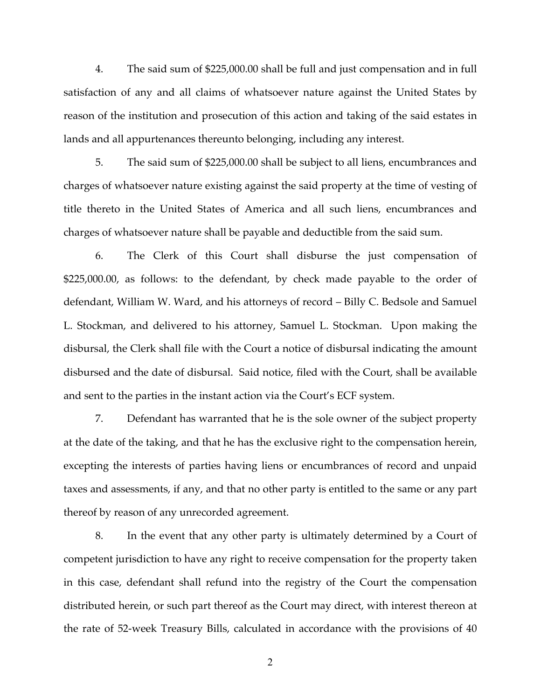4. The said sum of \$225,000.00 shall be full and just compensation and in full satisfaction of any and all claims of whatsoever nature against the United States by reason of the institution and prosecution of this action and taking of the said estates in lands and all appurtenances thereunto belonging, including any interest.

5. The said sum of \$225,000.00 shall be subject to all liens, encumbrances and charges of whatsoever nature existing against the said property at the time of vesting of title thereto in the United States of America and all such liens, encumbrances and charges of whatsoever nature shall be payable and deductible from the said sum.

6. The Clerk of this Court shall disburse the just compensation of \$225,000.00, as follows: to the defendant, by check made payable to the order of defendant, William W. Ward, and his attorneys of record – Billy C. Bedsole and Samuel L. Stockman, and delivered to his attorney, Samuel L. Stockman. Upon making the disbursal, the Clerk shall file with the Court a notice of disbursal indicating the amount disbursed and the date of disbursal. Said notice, filed with the Court, shall be available and sent to the parties in the instant action via the Court's ECF system.

7. Defendant has warranted that he is the sole owner of the subject property at the date of the taking, and that he has the exclusive right to the compensation herein, excepting the interests of parties having liens or encumbrances of record and unpaid taxes and assessments, if any, and that no other party is entitled to the same or any part thereof by reason of any unrecorded agreement.

8. In the event that any other party is ultimately determined by a Court of competent jurisdiction to have any right to receive compensation for the property taken in this case, defendant shall refund into the registry of the Court the compensation distributed herein, or such part thereof as the Court may direct, with interest thereon at the rate of 52-week Treasury Bills, calculated in accordance with the provisions of 40

2